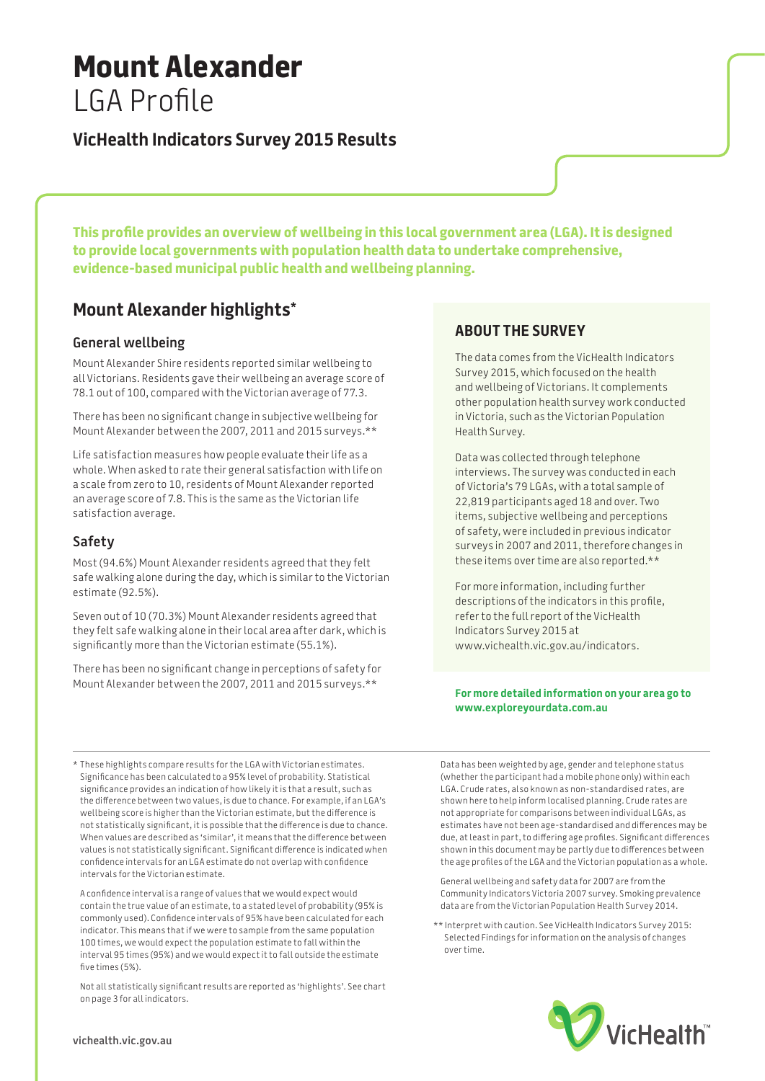# **Mount Alexander** LGA Profile

# **VicHealth Indicators Survey 2015 Results**

**This profile provides an overview of wellbeing in this local government area (LGA). It is designed to provide local governments with population health data to undertake comprehensive, evidence-based municipal public health and wellbeing planning.**

# **Mount Alexander highlights\***

### **General wellbeing**

Mount Alexander Shire residents reported similar wellbeing to all Victorians. Residents gave their wellbeing an average score of 78.1 out of 100, compared with the Victorian average of 77.3.

There has been no significant change in subjective wellbeing for Mount Alexander between the 2007, 2011 and 2015 surveys.\*\*

Life satisfaction measures how people evaluate their life as a whole. When asked to rate their general satisfaction with life on a scale from zero to 10, residents of Mount Alexander reported an average score of 7.8. This is the same as the Victorian life satisfaction average.

### **Safety**

Most (94.6%) Mount Alexander residents agreed that they felt safe walking alone during the day, which is similar to the Victorian estimate (92.5%).

Seven out of 10 (70.3%) Mount Alexander residents agreed that they felt safe walking alone in their local area after dark, which is significantly more than the Victorian estimate (55.1%).

There has been no significant change in perceptions of safety for Mount Alexander between the 2007, 2011 and 2015 surveys.\*\*

# **About the survey**

The data comes from the VicHealth Indicators Survey 2015, which focused on the health and wellbeing of Victorians. It complements other population health survey work conducted in Victoria, such as the Victorian Population Health Survey.

Data was collected through telephone interviews. The survey was conducted in each of Victoria's 79 LGAs, with a total sample of 22,819 participants aged 18 and over. Two items, subjective wellbeing and perceptions of safety, were included in previous indicator surveys in 2007 and 2011, therefore changes in these items over time are also reported.\*\*

For more information, including further descriptions of the indicators in this profile, refer to the full report of the VicHealth Indicators Survey 2015 at www.vichealth.vic.gov.au/indicators.

#### **For more detailed information on your area go to www.exploreyourdata.com.au**

\* These highlights compare results for the LGA with Victorian estimates. Significance has been calculated to a 95% level of probability. Statistical significance provides an indication of how likely it is that a result, such as the difference between two values, is due to chance. For example, if an LGA's wellbeing score is higher than the Victorian estimate, but the difference is not statistically significant, it is possible that the difference is due to chance. When values are described as 'similar', it means that the difference between values is not statistically significant. Significant difference is indicated when confidence intervals for an LGA estimate do not overlap with confidence intervals for the Victorian estimate.

A confidence interval is a range of values that we would expect would contain the true value of an estimate, to a stated level of probability (95% is commonly used). Confidence intervals of 95% have been calculated for each indicator. This means that if we were to sample from the same population 100 times, we would expect the population estimate to fall within the interval 95 times (95%) and we would expect it to fall outside the estimate five times (5%).

Not all statistically significant results are reported as 'highlights'. See chart on page 3 for all indicators.

Data has been weighted by age, gender and telephone status (whether the participant had a mobile phone only) within each LGA. Crude rates, also known as non-standardised rates, are shown here to help inform localised planning. Crude rates are not appropriate for comparisons between individual LGAs, as estimates have not been age-standardised and differences may be due, at least in part, to differing age profiles. Significant differences shown in this document may be partly due to differences between the age profiles of the LGA and the Victorian population as a whole.

General wellbeing and safety data for 2007 are from the Community Indicators Victoria 2007 survey. Smoking prevalence data are from the Victorian Population Health Survey 2014.

\*\* Interpret with caution. See VicHealth Indicators Survey 2015: Selected Findings for information on the analysis of changes over time.

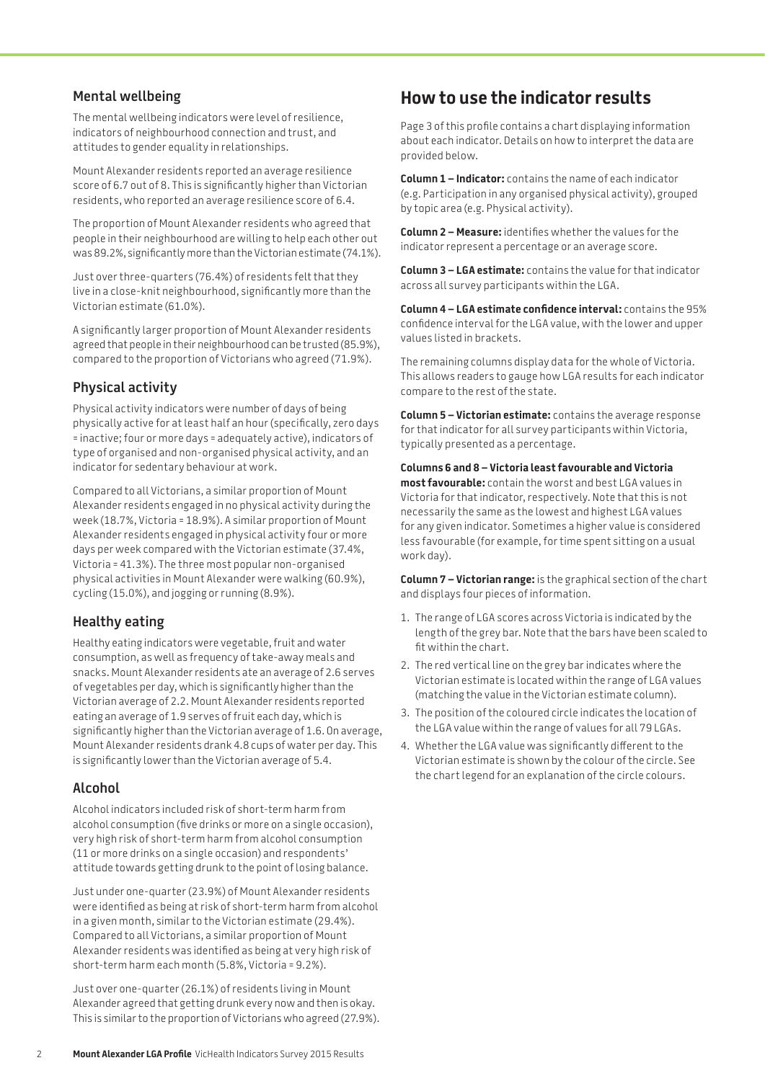### **Mental wellbeing**

The mental wellbeing indicators were level of resilience, indicators of neighbourhood connection and trust, and attitudes to gender equality in relationships.

Mount Alexander residents reported an average resilience score of 6.7 out of 8. This is significantly higher than Victorian residents, who reported an average resilience score of 6.4.

The proportion of Mount Alexander residents who agreed that people in their neighbourhood are willing to help each other out was 89.2%, significantly more than the Victorian estimate (74.1%).

Just over three-quarters (76.4%) of residents felt that they live in a close-knit neighbourhood, significantly more than the Victorian estimate (61.0%).

A significantly larger proportion of Mount Alexander residents agreed that people in their neighbourhood can be trusted (85.9%), compared to the proportion of Victorians who agreed (71.9%).

# **Physical activity**

Physical activity indicators were number of days of being physically active for at least half an hour (specifically, zero days = inactive; four or more days = adequately active), indicators of type of organised and non-organised physical activity, and an indicator for sedentary behaviour at work.

Compared to all Victorians, a similar proportion of Mount Alexander residents engaged in no physical activity during the week (18.7%, Victoria = 18.9%). A similar proportion of Mount Alexander residents engaged in physical activity four or more days per week compared with the Victorian estimate (37.4%, Victoria = 41.3%). The three most popular non-organised physical activities in Mount Alexander were walking (60.9%), cycling (15.0%), and jogging or running (8.9%).

# **Healthy eating**

Healthy eating indicators were vegetable, fruit and water consumption, as well as frequency of take-away meals and snacks. Mount Alexander residents ate an average of 2.6 serves of vegetables per day, which is significantly higher than the Victorian average of 2.2. Mount Alexander residents reported eating an average of 1.9 serves of fruit each day, which is significantly higher than the Victorian average of 1.6. On average, Mount Alexander residents drank 4.8 cups of water per day. This is significantly lower than the Victorian average of 5.4.

# **Alcohol**

Alcohol indicators included risk of short-term harm from alcohol consumption (five drinks or more on a single occasion), very high risk of short-term harm from alcohol consumption (11 or more drinks on a single occasion) and respondents' attitude towards getting drunk to the point of losing balance.

Just under one-quarter (23.9%) of Mount Alexander residents were identified as being at risk of short-term harm from alcohol in a given month, similar to the Victorian estimate (29.4%). Compared to all Victorians, a similar proportion of Mount Alexander residents was identified as being at very high risk of short-term harm each month (5.8%, Victoria = 9.2%).

Just over one-quarter (26.1%) of residents living in Mount Alexander agreed that getting drunk every now and then is okay. This is similar to the proportion of Victorians who agreed (27.9%).

# **How to use the indicator results**

Page 3 of this profile contains a chart displaying information about each indicator. Details on how to interpret the data are provided below.

**Column 1 – Indicator:** contains the name of each indicator (e.g. Participation in any organised physical activity), grouped by topic area (e.g. Physical activity).

**Column 2 – Measure:** identifies whether the values for the indicator represent a percentage or an average score.

**Column 3 – LGA estimate:** contains the value for that indicator across all survey participants within the LGA.

**Column 4 – LGA estimate confidence interval:** contains the 95% confidence interval for the LGA value, with the lower and upper values listed in brackets.

The remaining columns display data for the whole of Victoria. This allows readers to gauge how LGA results for each indicator compare to the rest of the state.

**Column 5 – Victorian estimate:** contains the average response for that indicator for all survey participants within Victoria, typically presented as a percentage.

**Columns 6 and 8 – Victoria least favourable and Victoria most favourable:** contain the worst and best LGA values in Victoria for that indicator, respectively. Note that this is not necessarily the same as the lowest and highest LGA values for any given indicator. Sometimes a higher value is considered less favourable (for example, for time spent sitting on a usual work day).

**Column 7 – Victorian range:** is the graphical section of the chart and displays four pieces of information.

- 1. The range of LGA scores across Victoria is indicated by the length of the grey bar. Note that the bars have been scaled to fit within the chart.
- 2. The red vertical line on the grey bar indicates where the Victorian estimate is located within the range of LGA values (matching the value in the Victorian estimate column).
- 3. The position of the coloured circle indicates the location of the LGA value within the range of values for all 79 LGAs.
- 4. Whether the LGA value was significantly different to the Victorian estimate is shown by the colour of the circle. See the chart legend for an explanation of the circle colours.